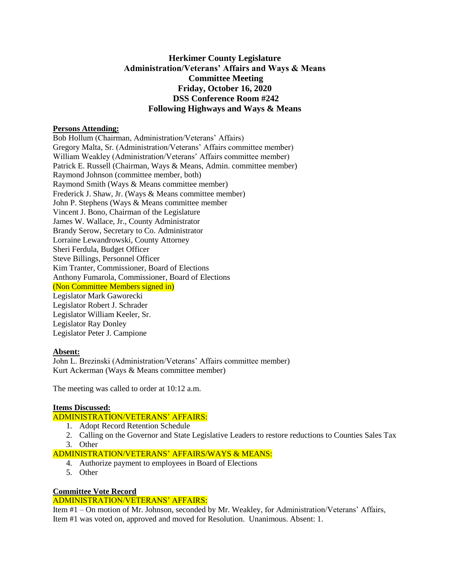## **Herkimer County Legislature Administration/Veterans' Affairs and Ways & Means Committee Meeting Friday, October 16, 2020 DSS Conference Room #242 Following Highways and Ways & Means**

#### **Persons Attending:**

Bob Hollum (Chairman, Administration/Veterans' Affairs) Gregory Malta, Sr. (Administration/Veterans' Affairs committee member) William Weakley (Administration/Veterans' Affairs committee member) Patrick E. Russell (Chairman, Ways & Means, Admin. committee member) Raymond Johnson (committee member, both) Raymond Smith (Ways & Means committee member) Frederick J. Shaw, Jr. (Ways & Means committee member) John P. Stephens (Ways & Means committee member Vincent J. Bono, Chairman of the Legislature James W. Wallace, Jr., County Administrator Brandy Serow, Secretary to Co. Administrator Lorraine Lewandrowski, County Attorney Sheri Ferdula, Budget Officer Steve Billings, Personnel Officer Kim Tranter, Commissioner, Board of Elections Anthony Fumarola, Commissioner, Board of Elections (Non Committee Members signed in) Legislator Mark Gaworecki Legislator Robert J. Schrader Legislator William Keeler, Sr. Legislator Ray Donley Legislator Peter J. Campione

## **Absent:**

John L. Brezinski (Administration/Veterans' Affairs committee member) Kurt Ackerman (Ways & Means committee member)

The meeting was called to order at 10:12 a.m.

#### **Items Discussed:**

#### ADMINISTRATION/VETERANS' AFFAIRS:

- 1. Adopt Record Retention Schedule
- 2. Calling on the Governor and State Legislative Leaders to restore reductions to Counties Sales Tax
- 3. Other

# ADMINISTRATION/VETERANS' AFFAIRS/WAYS & MEANS:

- 4. Authorize payment to employees in Board of Elections
- 5. Other

#### **Committee Vote Record**

## ADMINISTRATION/VETERANS' AFFAIRS:

Item #1 – On motion of Mr. Johnson, seconded by Mr. Weakley, for Administration/Veterans' Affairs, Item #1 was voted on, approved and moved for Resolution. Unanimous. Absent: 1.